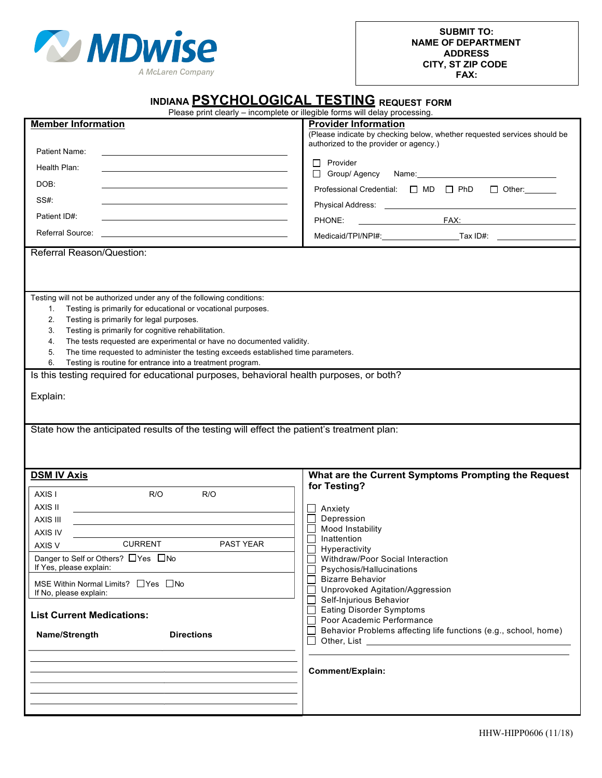

| INDIANA PSYCHOLOGICAL TESTING REQUEST FORM<br>Please print clearly - incomplete or illegible forms will delay processing.                                                                                                                                                                                                                                                                                                                                                                                                                                                                                    |                                                                                                                                                   |  |  |  |  |  |  |
|--------------------------------------------------------------------------------------------------------------------------------------------------------------------------------------------------------------------------------------------------------------------------------------------------------------------------------------------------------------------------------------------------------------------------------------------------------------------------------------------------------------------------------------------------------------------------------------------------------------|---------------------------------------------------------------------------------------------------------------------------------------------------|--|--|--|--|--|--|
|                                                                                                                                                                                                                                                                                                                                                                                                                                                                                                                                                                                                              |                                                                                                                                                   |  |  |  |  |  |  |
| <b>Member Information</b>                                                                                                                                                                                                                                                                                                                                                                                                                                                                                                                                                                                    | <b>Provider Information</b><br>(Please indicate by checking below, whether requested services should be<br>authorized to the provider or agency.) |  |  |  |  |  |  |
| Patient Name:                                                                                                                                                                                                                                                                                                                                                                                                                                                                                                                                                                                                | $\Box$ Provider                                                                                                                                   |  |  |  |  |  |  |
| Health Plan:                                                                                                                                                                                                                                                                                                                                                                                                                                                                                                                                                                                                 | Group/ Agency                                                                                                                                     |  |  |  |  |  |  |
| DOB:<br><u> 1989 - Johann Stein, mars an t-Amerikaansk kommunister (* 1908)</u>                                                                                                                                                                                                                                                                                                                                                                                                                                                                                                                              | Professional Credential: $\Box$ MD $\Box$ PhD<br>$\Box$ Other: $\Box$                                                                             |  |  |  |  |  |  |
| SS#:                                                                                                                                                                                                                                                                                                                                                                                                                                                                                                                                                                                                         |                                                                                                                                                   |  |  |  |  |  |  |
| Patient ID#:<br><u> 1989 - Johann Stein, marwolaethau a bhann an t-Amhainn an t-Amhainn an t-Amhainn an t-Amhainn an t-Amhainn an</u>                                                                                                                                                                                                                                                                                                                                                                                                                                                                        | PHONE:                                                                                                                                            |  |  |  |  |  |  |
| <b>Referral Source:</b><br><u> 1989 - Johann Barn, amerikansk politiker (d. 1989)</u>                                                                                                                                                                                                                                                                                                                                                                                                                                                                                                                        | Medicaid/TPI/NPI#: ___________________________Tax ID#: _________________________                                                                  |  |  |  |  |  |  |
| Referral Reason/Question:                                                                                                                                                                                                                                                                                                                                                                                                                                                                                                                                                                                    |                                                                                                                                                   |  |  |  |  |  |  |
| Testing will not be authorized under any of the following conditions:<br>Testing is primarily for educational or vocational purposes.<br>1.<br>2.<br>Testing is primarily for legal purposes.<br>Testing is primarily for cognitive rehabilitation.<br>3.<br>The tests requested are experimental or have no documented validity.<br>4.<br>5.<br>The time requested to administer the testing exceeds established time parameters.<br>6.<br>Testing is routine for entrance into a treatment program.<br>Is this testing required for educational purposes, behavioral health purposes, or both?<br>Explain: |                                                                                                                                                   |  |  |  |  |  |  |
| State how the anticipated results of the testing will effect the patient's treatment plan:                                                                                                                                                                                                                                                                                                                                                                                                                                                                                                                   |                                                                                                                                                   |  |  |  |  |  |  |
| <b>DSM IV Axis</b>                                                                                                                                                                                                                                                                                                                                                                                                                                                                                                                                                                                           | What are the Current Symptoms Prompting the Request                                                                                               |  |  |  |  |  |  |
| AXIS I<br>R/O<br>R/O                                                                                                                                                                                                                                                                                                                                                                                                                                                                                                                                                                                         | for Testing?                                                                                                                                      |  |  |  |  |  |  |
| AXIS II                                                                                                                                                                                                                                                                                                                                                                                                                                                                                                                                                                                                      | Anxiety                                                                                                                                           |  |  |  |  |  |  |
| AXIS III                                                                                                                                                                                                                                                                                                                                                                                                                                                                                                                                                                                                     | Depression                                                                                                                                        |  |  |  |  |  |  |
| <b>AXIS IV</b>                                                                                                                                                                                                                                                                                                                                                                                                                                                                                                                                                                                               | Mood Instability                                                                                                                                  |  |  |  |  |  |  |
| <b>CURRENT</b><br><b>PAST YEAR</b><br>AXIS V                                                                                                                                                                                                                                                                                                                                                                                                                                                                                                                                                                 | Inattention                                                                                                                                       |  |  |  |  |  |  |
| Danger to Self or Others? □Yes □No                                                                                                                                                                                                                                                                                                                                                                                                                                                                                                                                                                           | Hyperactivity<br>Withdraw/Poor Social Interaction                                                                                                 |  |  |  |  |  |  |
| If Yes, please explain:                                                                                                                                                                                                                                                                                                                                                                                                                                                                                                                                                                                      | Psychosis/Hallucinations<br><b>Bizarre Behavior</b>                                                                                               |  |  |  |  |  |  |
| MSE Within Normal Limits? $\Box$ Yes $\Box$ No<br>If No, please explain:                                                                                                                                                                                                                                                                                                                                                                                                                                                                                                                                     | Unprovoked Agitation/Aggression                                                                                                                   |  |  |  |  |  |  |
| <b>List Current Medications:</b>                                                                                                                                                                                                                                                                                                                                                                                                                                                                                                                                                                             | Self-Injurious Behavior<br><b>Eating Disorder Symptoms</b>                                                                                        |  |  |  |  |  |  |
| <b>Directions</b><br>Name/Strength                                                                                                                                                                                                                                                                                                                                                                                                                                                                                                                                                                           | Poor Academic Performance<br>Behavior Problems affecting life functions (e.g., school, home)                                                      |  |  |  |  |  |  |
|                                                                                                                                                                                                                                                                                                                                                                                                                                                                                                                                                                                                              | <b>Comment/Explain:</b>                                                                                                                           |  |  |  |  |  |  |
|                                                                                                                                                                                                                                                                                                                                                                                                                                                                                                                                                                                                              |                                                                                                                                                   |  |  |  |  |  |  |